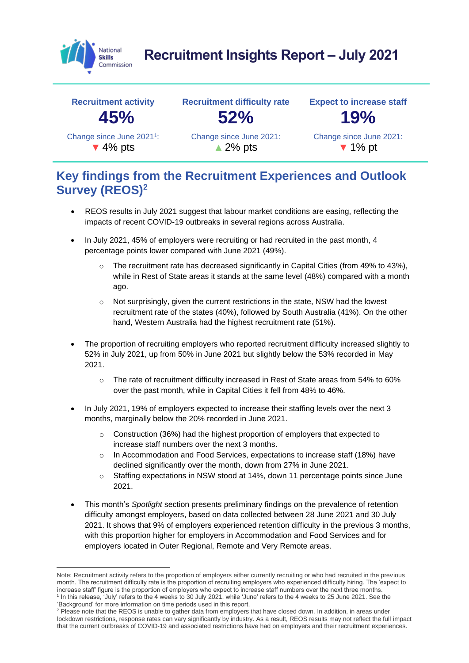

# **Recruitment Insights Report – July 2021**



### **Key findings from the Recruitment Experiences and Outlook Survey (REOS)<sup>2</sup>**

- REOS results in July 2021 suggest that labour market conditions are easing, reflecting the impacts of recent COVID-19 outbreaks in several regions across Australia.
- In July 2021, 45% of employers were recruiting or had recruited in the past month, 4 percentage points lower compared with June 2021 (49%).
	- $\circ$  The recruitment rate has decreased significantly in Capital Cities (from 49% to 43%), while in Rest of State areas it stands at the same level (48%) compared with a month ago.
	- Not surprisingly, given the current restrictions in the state, NSW had the lowest recruitment rate of the states (40%), followed by South Australia (41%). On the other hand, Western Australia had the highest recruitment rate (51%).
- The proportion of recruiting employers who reported recruitment difficulty increased slightly to 52% in July 2021, up from 50% in June 2021 but slightly below the 53% recorded in May 2021.
	- o The rate of recruitment difficulty increased in Rest of State areas from 54% to 60% over the past month, while in Capital Cities it fell from 48% to 46%.
- In July 2021, 19% of employers expected to increase their staffing levels over the next 3 months, marginally below the 20% recorded in June 2021.
	- o Construction (36%) had the highest proportion of employers that expected to increase staff numbers over the next 3 months.
	- In Accommodation and Food Services, expectations to increase staff (18%) have declined significantly over the month, down from 27% in June 2021.
	- o Staffing expectations in NSW stood at 14%, down 11 percentage points since June 2021.
- This month's *Spotlight* section presents preliminary findings on the prevalence of retention difficulty amongst employers, based on data collected between 28 June 2021 and 30 July 2021. It shows that 9% of employers experienced retention difficulty in the previous 3 months, with this proportion higher for employers in Accommodation and Food Services and for employers located in Outer Regional, Remote and Very Remote areas.

Note: Recruitment activity refers to the proportion of employers either currently recruiting or who had recruited in the previous month. The recruitment difficulty rate is the proportion of recruiting employers who experienced difficulty hiring. The 'expect to increase staff' figure is the proportion of employers who expect to increase staff numbers over the next three months. 1 In this release, 'July' refers to the 4 weeks to 30 July 2021, while 'June' refers to the 4 weeks to 25 June 2021. See the 'Background' for more information on time periods used in this report.

<sup>&</sup>lt;sup>2</sup> Please note that the REOS is unable to gather data from employers that have closed down. In addition, in areas under lockdown restrictions, response rates can vary significantly by industry. As a result, REOS results may not reflect the full impact that the current outbreaks of COVID-19 and associated restrictions have had on employers and their recruitment experiences.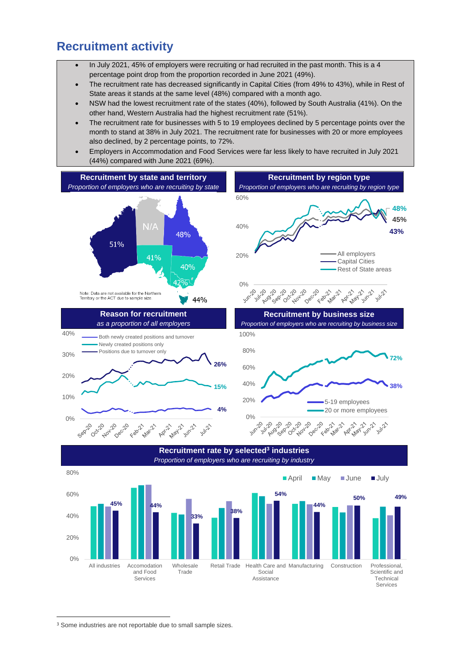#### **Recruitment activity**

- In July 2021, 45% of employers were recruiting or had recruited in the past month. This is a 4 percentage point drop from the proportion recorded in June 2021 (49%).
- The recruitment rate has decreased significantly in Capital Cities (from 49% to 43%), while in Rest of State areas it stands at the same level (48%) compared with a month ago.
- NSW had the lowest recruitment rate of the states (40%), followed by South Australia (41%). On the other hand, Western Australia had the highest recruitment rate (51%).
- The recruitment rate for businesses with 5 to 19 employees declined by 5 percentage points over the month to stand at 38% in July 2021. The recruitment rate for businesses with 20 or more employees also declined, by 2 percentage points, to 72%.
- Employers in Accommodation and Food Services were far less likely to have recruited in July 2021 (44%) compared with June 2021 (69%).



Services

<sup>&</sup>lt;sup>3</sup> Some industries are not reportable due to small sample sizes.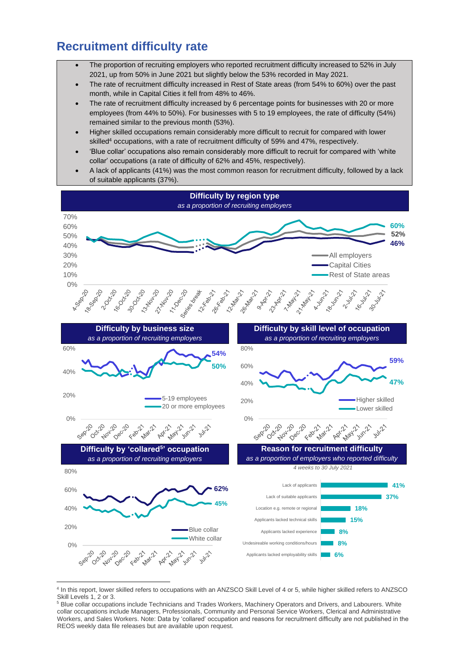### **Recruitment difficulty rate**

- The proportion of recruiting employers who reported recruitment difficulty increased to 52% in July 2021, up from 50% in June 2021 but slightly below the 53% recorded in May 2021.
- The rate of recruitment difficulty increased in Rest of State areas (from 54% to 60%) over the past month, while in Capital Cities it fell from 48% to 46%.
- The rate of recruitment difficulty increased by 6 percentage points for businesses with 20 or more employees (from 44% to 50%). For businesses with 5 to 19 employees, the rate of difficulty (54%) remained similar to the previous month (53%).
- Higher skilled occupations remain considerably more difficult to recruit for compared with lower skilled<sup>4</sup> occupations, with a rate of recruitment difficulty of 59% and 47%, respectively.
- 'Blue collar' occupations also remain considerably more difficult to recruit for compared with 'white collar' occupations (a rate of difficulty of 62% and 45%, respectively).
- A lack of applicants (41%) was the most common reason for recruitment difficulty, followed by a lack of suitable applicants (37%).



<sup>4</sup> In this report, lower skilled refers to occupations with an ANZSCO Skill Level of 4 or 5, while higher skilled refers to ANZSCO Skill Levels 1, 2 or 3.

<sup>&</sup>lt;sup>5</sup> Blue collar occupations include Technicians and Trades Workers, Machinery Operators and Drivers, and Labourers. White collar occupations include Managers, Professionals, Community and Personal Service Workers, Clerical and Administrative Workers, and Sales Workers. Note: Data by 'collared' occupation and reasons for recruitment difficulty are not published in the REOS weekly data file releases but are available upon request.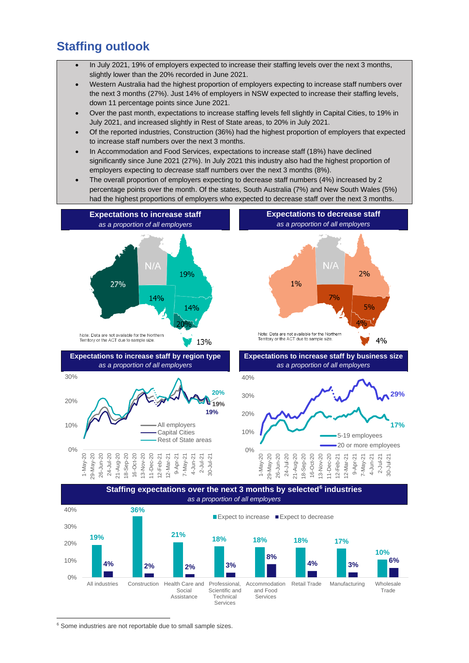#### **Staffing outlook**

- In July 2021, 19% of employers expected to increase their staffing levels over the next 3 months, slightly lower than the 20% recorded in June 2021.
- Western Australia had the highest proportion of employers expecting to increase staff numbers over the next 3 months (27%). Just 14% of employers in NSW expected to increase their staffing levels, down 11 percentage points since June 2021.
- Over the past month, expectations to increase staffing levels fell slightly in Capital Cities, to 19% in July 2021, and increased slightly in Rest of State areas, to 20% in July 2021.
- Of the reported industries, Construction (36%) had the highest proportion of employers that expected to increase staff numbers over the next 3 months.
- In Accommodation and Food Services, expectations to increase staff (18%) have declined significantly since June 2021 (27%). In July 2021 this industry also had the highest proportion of employers expecting to *decrease* staff numbers over the next 3 months (8%).
- The overall proportion of employers expecting to decrease staff numbers (4%) increased by 2 percentage points over the month. Of the states, South Australia (7%) and New South Wales (5%) had the highest proportions of employers who expected to decrease staff over the next 3 months.



0% All industries Construction Health Care and Social Assistance Professional, Scientific and Technical Services Accommodation and Food Services Retail Trade Manufacturing Wholesale Trade

<sup>6</sup> Some industries are not reportable due to small sample sizes.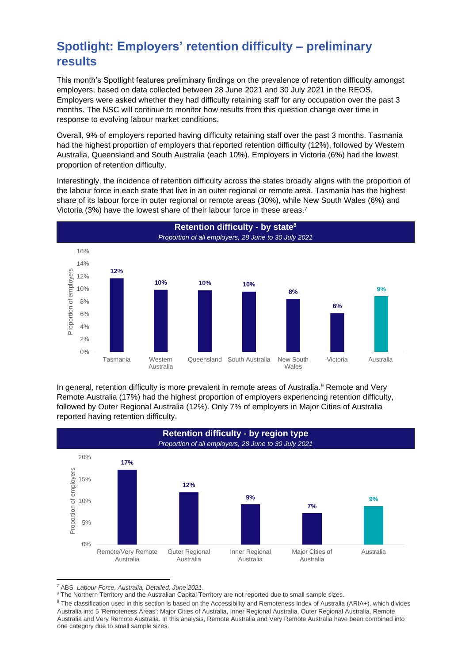## **Spotlight: Employers' retention difficulty – preliminary results**

This month's Spotlight features preliminary findings on the prevalence of retention difficulty amongst employers, based on data collected between 28 June 2021 and 30 July 2021 in the REOS. Employers were asked whether they had difficulty retaining staff for any occupation over the past 3 months. The NSC will continue to monitor how results from this question change over time in response to evolving labour market conditions.

Overall, 9% of employers reported having difficulty retaining staff over the past 3 months. Tasmania had the highest proportion of employers that reported retention difficulty (12%), followed by Western Australia, Queensland and South Australia (each 10%). Employers in Victoria (6%) had the lowest proportion of retention difficulty.

Interestingly, the incidence of retention difficulty across the states broadly aligns with the proportion of the labour force in each state that live in an outer regional or remote area. Tasmania has the highest share of its labour force in outer regional or remote areas (30%), while New South Wales (6%) and Victoria (3%) have the lowest share of their labour force in these areas.<sup>7</sup>



In general, retention difficulty is more prevalent in remote areas of Australia.<sup>9</sup> Remote and Very Remote Australia (17%) had the highest proportion of employers experiencing retention difficulty, followed by Outer Regional Australia (12%). Only 7% of employers in Major Cities of Australia reported having retention difficulty.



<sup>7</sup> ABS, *Labour Force, Australia, Detailed, June 2021*.

8 The Northern Territory and the Australian Capital Territory are not reported due to small sample sizes.

<sup>9</sup> The classification used in this section is based on the Accessibility and Remoteness Index of Australia (ARIA+), which divides Australia into 5 'Remoteness Areas': Major Cities of Australia, Inner Regional Australia, Outer Regional Australia, Remote Australia and Very Remote Australia. In this analysis, Remote Australia and Very Remote Australia have been combined into one category due to small sample sizes.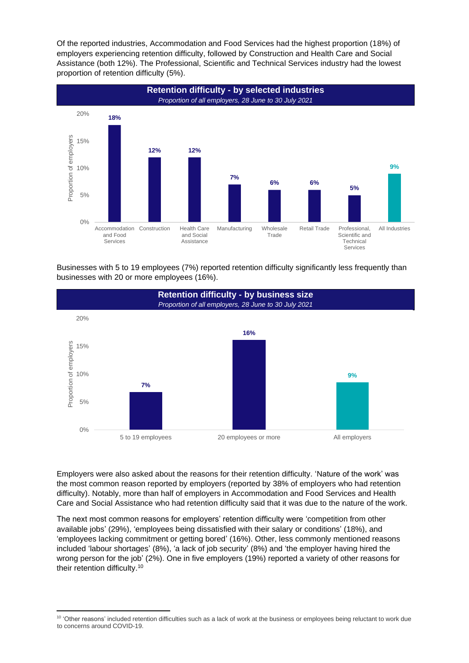Of the reported industries, Accommodation and Food Services had the highest proportion (18%) of employers experiencing retention difficulty, followed by Construction and Health Care and Social Assistance (both 12%). The Professional, Scientific and Technical Services industry had the lowest proportion of retention difficulty (5%).



Businesses with 5 to 19 employees (7%) reported retention difficulty significantly less frequently than businesses with 20 or more employees (16%).



Employers were also asked about the reasons for their retention difficulty. 'Nature of the work' was the most common reason reported by employers (reported by 38% of employers who had retention difficulty). Notably, more than half of employers in Accommodation and Food Services and Health Care and Social Assistance who had retention difficulty said that it was due to the nature of the work.

The next most common reasons for employers' retention difficulty were 'competition from other available jobs' (29%), 'employees being dissatisfied with their salary or conditions' (18%), and 'employees lacking commitment or getting bored' (16%). Other, less commonly mentioned reasons included 'labour shortages' (8%), 'a lack of job security' (8%) and 'the employer having hired the wrong person for the job' (2%). One in five employers (19%) reported a variety of other reasons for their retention difficulty.<sup>10</sup>

<sup>&</sup>lt;sup>10</sup> 'Other reasons' included retention difficulties such as a lack of work at the business or employees being reluctant to work due to concerns around COVID-19.